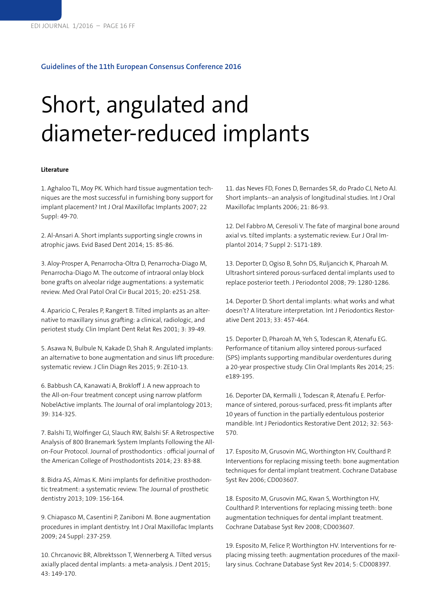## **Guidelines of the 11th European Consensus Conference 2016**

## Short, angulated and diameter-reduced implants

## **Literature**

1. Aghaloo TL, Moy PK. Which hard tissue augmentation techniques are the most successful in furnishing bony support for implant placement? Int J Oral Maxillofac Implants 2007; 22 Suppl: 49-70.

2. Al-Ansari A. Short implants supporting single crowns in atrophic jaws. Evid Based Dent 2014; 15: 85-86.

3. Aloy-Prosper A, Penarrocha-Oltra D, Penarrocha-Diago M, Penarrocha-Diago M. The outcome of intraoral onlay block bone grafts on alveolar ridge augmentations: a systematic review. Med Oral Patol Oral Cir Bucal 2015; 20: e251-258.

4. Aparicio C, Perales P, Rangert B. Tilted implants as an alternative to maxillary sinus grafting: a clinical, radiologic, and periotest study. Clin Implant Dent Relat Res 2001; 3: 39-49.

5. Asawa N, Bulbule N, Kakade D, Shah R. Angulated implants: an alternative to bone augmentation and sinus lift procedure: systematic review. J Clin Diagn Res 2015; 9: ZE10-13.

6. Babbush CA, Kanawati A, Brokloff J. A new approach to the All-on-Four treatment concept using narrow platform NobelActive implants. The Journal of oral implantology 2013; 39: 314-325.

7. Balshi TJ, Wolfinger GJ, Slauch RW, Balshi SF. A Retrospective Analysis of 800 Branemark System Implants Following the Allon-Four Protocol. Journal of prosthodontics : official journal of the American College of Prosthodontists 2014; 23: 83-88.

8. Bidra AS, Almas K. Mini implants for definitive prosthodontic treatment: a systematic review. The Journal of prosthetic dentistry 2013; 109: 156-164.

9. Chiapasco M, Casentini P, Zaniboni M. Bone augmentation procedures in implant dentistry. Int J Oral Maxillofac Implants 2009; 24 Suppl: 237-259.

10. Chrcanovic BR, Albrektsson T, Wennerberg A. Tilted versus axially placed dental implants: a meta-analysis. J Dent 2015; 43: 149-170.

11. das Neves FD, Fones D, Bernardes SR, do Prado CJ, Neto AJ. Short implants--an analysis of longitudinal studies. Int J Oral Maxillofac Implants 2006; 21: 86-93.

12. Del Fabbro M, Ceresoli V. The fate of marginal bone around axial vs. tilted implants: a systematic review. Eur J Oral Implantol 2014; 7 Suppl 2: S171-189.

13. Deporter D, Ogiso B, Sohn DS, Ruljancich K, Pharoah M. Ultrashort sintered porous-surfaced dental implants used to replace posterior teeth. J Periodontol 2008; 79: 1280-1286.

14. Deporter D. Short dental implants: what works and what doesn't? A literature interpretation. Int J Periodontics Restorative Dent 2013; 33: 457-464.

15. Deporter D, Pharoah M, Yeh S, Todescan R, Atenafu EG. Performance of titanium alloy sintered porous-surfaced (SPS) implants supporting mandibular overdentures during a 20-year prospective study. Clin Oral Implants Res 2014; 25: e189-195.

16. Deporter DA, Kermalli J, Todescan R, Atenafu E. Performance of sintered, porous-surfaced, press-fit implants after 10 years of function in the partially edentulous posterior mandible. Int J Periodontics Restorative Dent 2012; 32: 563- 570.

17. Esposito M, Grusovin MG, Worthington HV, Coulthard P. Interventions for replacing missing teeth: bone augmentation techniques for dental implant treatment. Cochrane Database Syst Rev 2006; CD003607.

18. Esposito M, Grusovin MG, Kwan S, Worthington HV, Coulthard P. Interventions for replacing missing teeth: bone augmentation techniques for dental implant treatment. Cochrane Database Syst Rev 2008; CD003607.

19. Esposito M, Felice P, Worthington HV. Interventions for replacing missing teeth: augmentation procedures of the maxillary sinus. Cochrane Database Syst Rev 2014; 5: CD008397.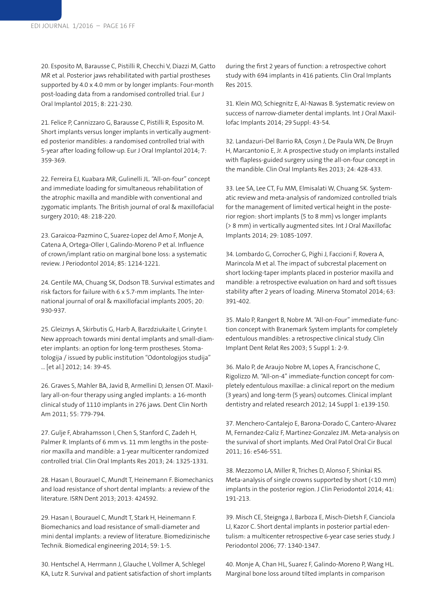20. Esposito M, Barausse C, Pistilli R, Checchi V, Diazzi M, Gatto MR et al. Posterior jaws rehabilitated with partial prostheses supported by 4.0 x 4.0 mm or by longer implants: Four-month post-loading data from a randomised controlled trial. Eur J Oral Implantol 2015; 8: 221-230.

21. Felice P, Cannizzaro G, Barausse C, Pistilli R, Esposito M. Short implants versus longer implants in vertically augmented posterior mandibles: a randomised controlled trial with 5-year after loading follow-up. Eur J Oral Implantol 2014; 7: 359-369.

22. Ferreira EJ, Kuabara MR, Gulinelli JL. "All-on-four" concept and immediate loading for simultaneous rehabilitation of the atrophic maxilla and mandible with conventional and zygomatic implants. The British journal of oral & maxillofacial surgery 2010; 48: 218-220.

23. Garaicoa-Pazmino C, Suarez-Lopez del Amo F, Monje A, Catena A, Ortega-Oller I, Galindo-Moreno P et al. Influence of crown/implant ratio on marginal bone loss: a systematic review. J Periodontol 2014; 85: 1214-1221.

24. Gentile MA, Chuang SK, Dodson TB. Survival estimates and risk factors for failure with 6 x 5.7-mm implants. The International journal of oral & maxillofacial implants 2005; 20: 930-937.

25. Gleiznys A, Skirbutis G, Harb A, Barzdziukaite I, Grinyte I. New approach towards mini dental implants and small-diameter implants: an option for long-term prostheses. Stomatologija / issued by public institution "Odontologijos studija" ... [et al.] 2012; 14: 39-45.

26. Graves S, Mahler BA, Javid B, Armellini D, Jensen OT. Maxillary all-on-four therapy using angled implants: a 16-month clinical study of 1110 implants in 276 jaws. Dent Clin North Am 2011; 55: 779-794.

27. Gulje F, Abrahamsson I, Chen S, Stanford C, Zadeh H, Palmer R. Implants of 6 mm vs. 11 mm lengths in the posterior maxilla and mandible: a 1-year multicenter randomized controlled trial. Clin Oral Implants Res 2013; 24: 1325-1331.

28. Hasan I, Bourauel C, Mundt T, Heinemann F. Biomechanics and load resistance of short dental implants: a review of the literature. ISRN Dent 2013; 2013: 424592.

29. Hasan I, Bourauel C, Mundt T, Stark H, Heinemann F. Biomechanics and load resistance of small-diameter and mini dental implants: a review of literature. Biomedizinische Technik. Biomedical engineering 2014; 59: 1-5.

30. Hentschel A, Herrmann J, Glauche I, Vollmer A, Schlegel KA, Lutz R. Survival and patient satisfaction of short implants during the first 2 years of function: a retrospective cohort study with 694 implants in 416 patients. Clin Oral Implants Res 2015.

31. Klein MO, Schiegnitz E, Al-Nawas B. Systematic review on success of narrow-diameter dental implants. Int J Oral Maxillofac Implants 2014; 29 Suppl: 43-54.

32. Landazuri-Del Barrio RA, Cosyn J, De Paula WN, De Bruyn H, Marcantonio E, Jr. A prospective study on implants installed with flapless-guided surgery using the all-on-four concept in the mandible. Clin Oral Implants Res 2013; 24: 428-433.

33. Lee SA, Lee CT, Fu MM, Elmisalati W, Chuang SK. Systematic review and meta-analysis of randomized controlled trials for the management of limited vertical height in the posterior region: short implants (5 to 8 mm) vs longer implants (> 8 mm) in vertically augmented sites. Int J Oral Maxillofac Implants 2014; 29: 1085-1097.

34. Lombardo G, Corrocher G, Pighi J, Faccioni F, Rovera A, Marincola M et al. The impact of subcrestal placement on short locking-taper implants placed in posterior maxilla and mandible: a retrospective evaluation on hard and soft tissues stability after 2 years of loading. Minerva Stomatol 2014; 63: 391-402.

35. Malo P, Rangert B, Nobre M. "All-on-Four" immediate-function concept with Branemark System implants for completely edentulous mandibles: a retrospective clinical study. Clin Implant Dent Relat Res 2003; 5 Suppl 1: 2-9.

36. Malo P, de Araujo Nobre M, Lopes A, Francischone C, Rigolizzo M. "All-on-4" immediate-function concept for completely edentulous maxillae: a clinical report on the medium (3 years) and long-term (5 years) outcomes. Clinical implant dentistry and related research 2012; 14 Suppl 1: e139-150.

37. Menchero-Cantalejo E, Barona-Dorado C, Cantero-Alvarez M, Fernandez-Caliz F, Martinez-Gonzalez JM. Meta-analysis on the survival of short implants. Med Oral Patol Oral Cir Bucal 2011; 16: e546-551.

38. Mezzomo LA, Miller R, Triches D, Alonso F, Shinkai RS. Meta-analysis of single crowns supported by short (<10 mm) implants in the posterior region. J Clin Periodontol 2014; 41: 191-213.

39. Misch CE, Steignga J, Barboza E, Misch-Dietsh F, Cianciola LJ, Kazor C. Short dental implants in posterior partial edentulism: a multicenter retrospective 6-year case series study. J Periodontol 2006; 77: 1340-1347.

40. Monje A, Chan HL, Suarez F, Galindo-Moreno P, Wang HL. Marginal bone loss around tilted implants in comparison